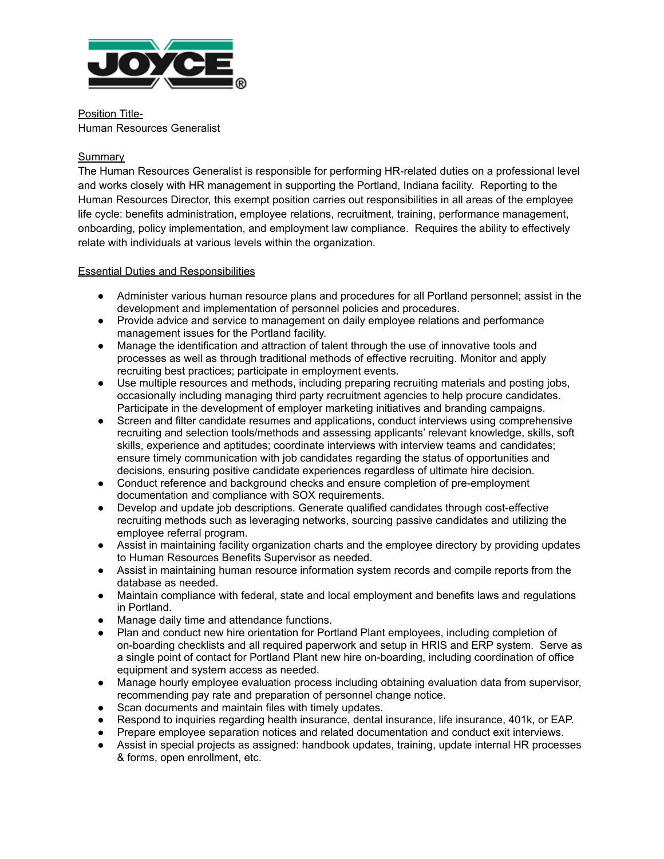

Position Title-Human Resources Generalist

#### **Summarv**

The Human Resources Generalist is responsible for performing HR-related duties on a professional level and works closely with HR management in supporting the Portland, Indiana facility. Reporting to the Human Resources Director, this exempt position carries out responsibilities in all areas of the employee life cycle: benefits administration, employee relations, recruitment, training, performance management, onboarding, policy implementation, and employment law compliance. Requires the ability to effectively relate with individuals at various levels within the organization.

#### Essential Duties and Responsibilities

- Administer various human resource plans and procedures for all Portland personnel; assist in the development and implementation of personnel policies and procedures.
- Provide advice and service to management on daily employee relations and performance management issues for the Portland facility.
- Manage the identification and attraction of talent through the use of innovative tools and processes as well as through traditional methods of effective recruiting. Monitor and apply recruiting best practices; participate in employment events.
- Use multiple resources and methods, including preparing recruiting materials and posting jobs, occasionally including managing third party recruitment agencies to help procure candidates. Participate in the development of employer marketing initiatives and branding campaigns.
- Screen and filter candidate resumes and applications, conduct interviews using comprehensive recruiting and selection tools/methods and assessing applicants' relevant knowledge, skills, soft skills, experience and aptitudes; coordinate interviews with interview teams and candidates; ensure timely communication with job candidates regarding the status of opportunities and decisions, ensuring positive candidate experiences regardless of ultimate hire decision.
- Conduct reference and background checks and ensure completion of pre-employment documentation and compliance with SOX requirements.
- Develop and update job descriptions. Generate qualified candidates through cost-effective recruiting methods such as leveraging networks, sourcing passive candidates and utilizing the employee referral program.
- Assist in maintaining facility organization charts and the employee directory by providing updates to Human Resources Benefits Supervisor as needed.
- Assist in maintaining human resource information system records and compile reports from the database as needed.
- Maintain compliance with federal, state and local employment and benefits laws and regulations in Portland.
- Manage daily time and attendance functions.
- Plan and conduct new hire orientation for Portland Plant employees, including completion of on-boarding checklists and all required paperwork and setup in HRIS and ERP system. Serve as a single point of contact for Portland Plant new hire on-boarding, including coordination of office equipment and system access as needed.
- Manage hourly employee evaluation process including obtaining evaluation data from supervisor, recommending pay rate and preparation of personnel change notice.
- Scan documents and maintain files with timely updates.
- Respond to inquiries regarding health insurance, dental insurance, life insurance, 401k, or EAP.
- Prepare employee separation notices and related documentation and conduct exit interviews.
- Assist in special projects as assigned: handbook updates, training, update internal HR processes & forms, open enrollment, etc.